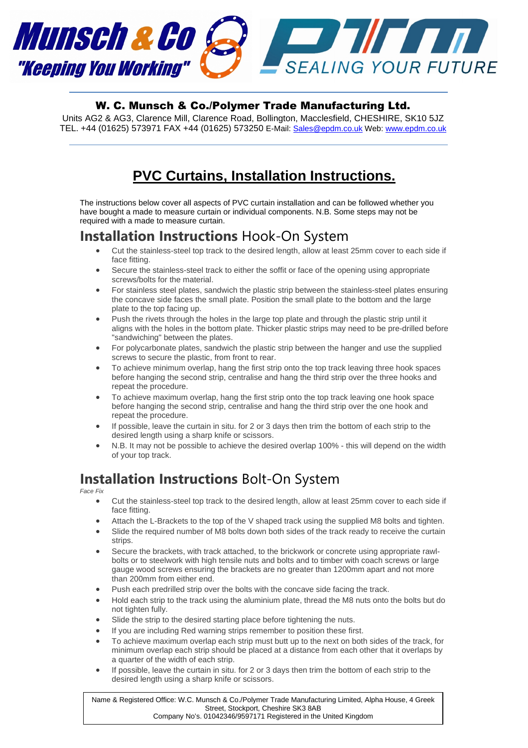

#### W. C. Munsch & Co./Polymer Trade Manufacturing Ltd.

Units AG2 & AG3, Clarence Mill, Clarence Road, Bollington, Macclesfield, CHESHIRE, SK10 5JZ TEL. +44 (01625) 573971 FAX +44 (01625) 573250 E-Mail: Sales@epdm.co.uk Web: www.epdm.co.uk

# **PVC Curtains, Installation Instructions.**

The instructions below cover all aspects of PVC curtain installation and can be followed whether you have bought a made to measure curtain or individual components. N.B. Some steps may not be required with a made to measure curtain.

#### Installation Instructions Hook-On System

- Cut the stainless-steel top track to the desired length, allow at least 25mm cover to each side if face fitting.
- Secure the stainless-steel track to either the soffit or face of the opening using appropriate screws/bolts for the material.
- For stainless steel plates, sandwich the plastic strip between the stainless-steel plates ensuring the concave side faces the small plate. Position the small plate to the bottom and the large plate to the top facing up.
- Push the rivets through the holes in the large top plate and through the plastic strip until it aligns with the holes in the bottom plate. Thicker plastic strips may need to be pre-drilled before "sandwiching" between the plates.
- For polycarbonate plates, sandwich the plastic strip between the hanger and use the supplied screws to secure the plastic, from front to rear.
- To achieve minimum overlap, hang the first strip onto the top track leaving three hook spaces before hanging the second strip, centralise and hang the third strip over the three hooks and repeat the procedure.
- To achieve maximum overlap, hang the first strip onto the top track leaving one hook space before hanging the second strip, centralise and hang the third strip over the one hook and repeat the procedure.
- If possible, leave the curtain in situ. for 2 or 3 days then trim the bottom of each strip to the desired length using a sharp knife or scissors.
- N.B. It may not be possible to achieve the desired overlap 100% this will depend on the width of your top track.

## Installation Instructions Bolt-On System

Face Fix

- Cut the stainless-steel top track to the desired length, allow at least 25mm cover to each side if face fitting.
- Attach the L-Brackets to the top of the V shaped track using the supplied M8 bolts and tighten.
- Slide the required number of M8 bolts down both sides of the track ready to receive the curtain strips.
- Secure the brackets, with track attached, to the brickwork or concrete using appropriate rawlbolts or to steelwork with high tensile nuts and bolts and to timber with coach screws or large gauge wood screws ensuring the brackets are no greater than 1200mm apart and not more than 200mm from either end.
- Push each predrilled strip over the bolts with the concave side facing the track.
- Hold each strip to the track using the aluminium plate, thread the M8 nuts onto the bolts but do not tighten fully.
- Slide the strip to the desired starting place before tightening the nuts.
- If you are including Red warning strips remember to position these first.
- To achieve maximum overlap each strip must butt up to the next on both sides of the track, for minimum overlap each strip should be placed at a distance from each other that it overlaps by a quarter of the width of each strip.
- If possible, leave the curtain in situ. for 2 or 3 days then trim the bottom of each strip to the desired length using a sharp knife or scissors.

Name & Registered Office: W.C. Munsch & Co./Polymer Trade Manufacturing Limited, Alpha House, 4 Greek Street, Stockport, Cheshire SK3 8AB Company No's. 01042346/9597171 Registered in the United Kingdom